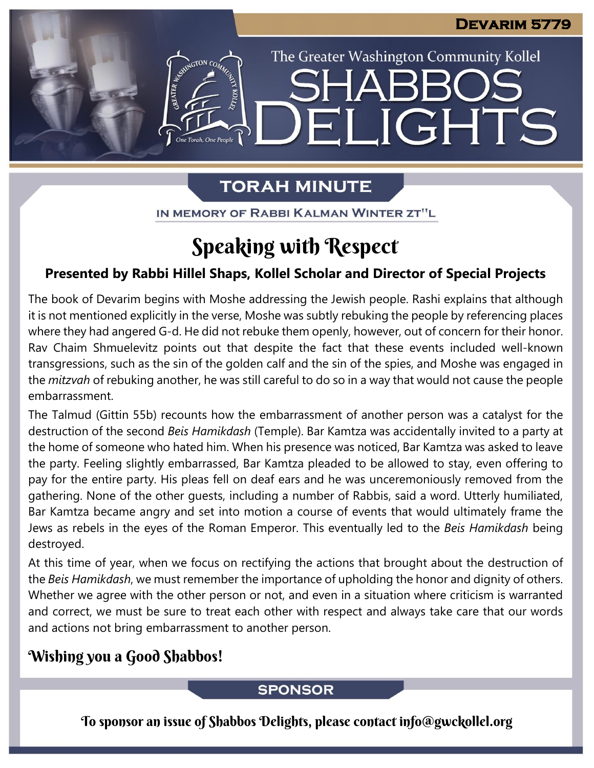The Greater Washington Community Kollel

LIGHTS

# **TORAH MINUTE**

EI

IN MEMORY OF RABBI KALMAN WINTER ZT"L

# Speaking with Respect

### **Presented by Rabbi Hillel Shaps, Kollel Scholar and Director of Special Projects**

The book of Devarim begins with Moshe addressing the Jewish people. Rashi explains that although it is not mentioned explicitly in the verse, Moshe was subtly rebuking the people by referencing places where they had angered G-d. He did not rebuke them openly, however, out of concern for their honor. Rav Chaim Shmuelevitz points out that despite the fact that these events included well-known transgressions, such as the sin of the golden calf and the sin of the spies, and Moshe was engaged in the *mitzvah* of rebuking another, he was still careful to do so in a way that would not cause the people embarrassment. **From our archives**

The Talmud (Gittin 55b) recounts how the embarrassment of another person was a catalyst for the destruction of the second *Beis Hamikdash* (Temple). Bar Kamtza was accidentally invited to a party at the home of someone who hated him. When his presence was noticed, Bar Kamtza was asked to leave the party. Feeling slightly embarrassed, Bar Kamtza pleaded to be allowed to stay, even offering to pay for the entire party. His pleas fell on deaf ears and he was unceremoniously removed from the gathering. None of the other guests, including a number of Rabbis, said a word. Utterly humiliated, Bar Kamtza became angry and set into motion a course of events that would ultimately frame the Jews as rebels in the eyes of the Roman Emperor. This eventually led to the *Beis Hamikdash* being destroyed.

At this time of year, when we focus on rectifying the actions that brought about the destruction of the *Beis Hamikdash*, we must remember the importance of upholding the honor and dignity of others. Whether we agree with the other person or not, and even in a situation where criticism is warranted and correct, we must be sure to treat each other with respect and always take care that our words and actions not bring embarrassment to another person.

## Wishing you a Good Shabbos!

### **SPONSOR**

To sponsor an issue of Shabbos Delights, please contact info@gwckollel.org